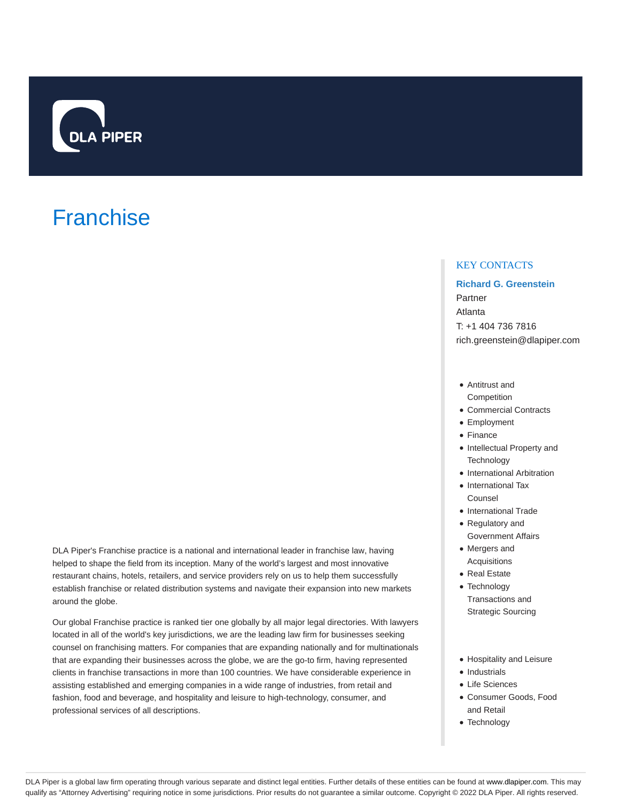

# **Franchise**

KEY CONTACTS

**Richard G. Greenstein** Partner Atlanta T: +1 404 736 7816 rich.greenstein@dlapiper.com

- Antitrust and **Competition**
- Commercial Contracts
- Employment
- Finance
- $\bullet$  Intellectual Property and **Technology**
- International Arbitration
- International Tax Counsel
- International Trade
- Regulatory and Government Affairs
- Mergers and
- Acquisitions • Real Estate
- Technology
- Transactions and Strategic Sourcing
- Hospitality and Leisure
- Industrials
- Life Sciences
- Consumer Goods, Food and Retail
- Technology

DLA Piper's Franchise practice is a national and international leader in franchise law, having helped to shape the field from its inception. Many of the world's largest and most innovative restaurant chains, hotels, retailers, and service providers rely on us to help them successfully establish franchise or related distribution systems and navigate their expansion into new markets around the globe.

Our global Franchise practice is ranked tier one globally by all major legal directories. With lawyers located in all of the world's key jurisdictions, we are the leading law firm for businesses seeking counsel on franchising matters. For companies that are expanding nationally and for multinationals that are expanding their businesses across the globe, we are the go-to firm, having represented clients in franchise transactions in more than 100 countries. We have considerable experience in assisting established and emerging companies in a wide range of industries, from retail and fashion, food and beverage, and hospitality and leisure to high-technology, consumer, and professional services of all descriptions.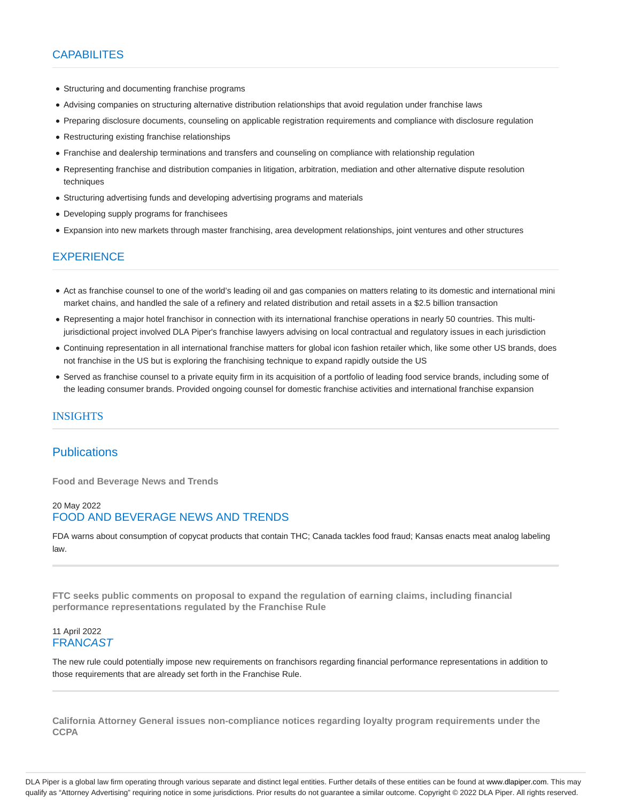## CAPABILITES

- Structuring and documenting franchise programs
- Advising companies on structuring alternative distribution relationships that avoid regulation under franchise laws
- Preparing disclosure documents, counseling on applicable registration requirements and compliance with disclosure regulation
- Restructuring existing franchise relationships
- Franchise and dealership terminations and transfers and counseling on compliance with relationship regulation
- Representing franchise and distribution companies in litigation, arbitration, mediation and other alternative dispute resolution techniques
- Structuring advertising funds and developing advertising programs and materials
- Developing supply programs for franchisees
- Expansion into new markets through master franchising, area development relationships, joint ventures and other structures

## **EXPERIENCE**

- Act as franchise counsel to one of the world's leading oil and gas companies on matters relating to its domestic and international mini market chains, and handled the sale of a refinery and related distribution and retail assets in a \$2.5 billion transaction
- Representing a major hotel franchisor in connection with its international franchise operations in nearly 50 countries. This multijurisdictional project involved DLA Piper's franchise lawyers advising on local contractual and regulatory issues in each jurisdiction
- Continuing representation in all international franchise matters for global icon fashion retailer which, like some other US brands, does not franchise in the US but is exploring the franchising technique to expand rapidly outside the US
- Served as franchise counsel to a private equity firm in its acquisition of a portfolio of leading food service brands, including some of the leading consumer brands. Provided ongoing counsel for domestic franchise activities and international franchise expansion

## INSIGHTS

## **Publications**

**Food and Beverage News and Trends**

## 20 May 2022 FOOD AND BEVERAGE NEWS AND TRENDS

FDA warns about consumption of copycat products that contain THC; Canada tackles food fraud; Kansas enacts meat analog labeling law.

**FTC seeks public comments on proposal to expand the regulation of earning claims, including financial performance representations regulated by the Franchise Rule**

#### 11 April 2022 **FRANCAST**

The new rule could potentially impose new requirements on franchisors regarding financial performance representations in addition to those requirements that are already set forth in the Franchise Rule.

**California Attorney General issues non-compliance notices regarding loyalty program requirements under the CCPA**

DLA Piper is a global law firm operating through various separate and distinct legal entities. Further details of these entities can be found at www.dlapiper.com. This may qualify as "Attorney Advertising" requiring notice in some jurisdictions. Prior results do not guarantee a similar outcome. Copyright © 2022 DLA Piper. All rights reserved.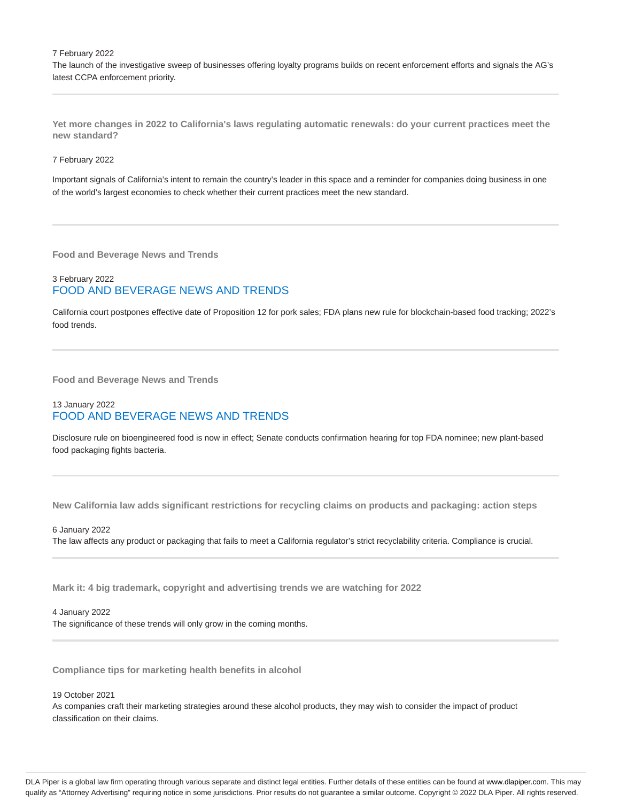7 February 2022

The launch of the investigative sweep of businesses offering loyalty programs builds on recent enforcement efforts and signals the AG's latest CCPA enforcement priority.

**Yet more changes in 2022 to California's laws regulating automatic renewals: do your current practices meet the new standard?**

7 February 2022

Important signals of California's intent to remain the country's leader in this space and a reminder for companies doing business in one of the world's largest economies to check whether their current practices meet the new standard.

**Food and Beverage News and Trends**

## 3 February 2022 FOOD AND BEVERAGE NEWS AND TRENDS

California court postpones effective date of Proposition 12 for pork sales; FDA plans new rule for blockchain-based food tracking; 2022's food trends.

**Food and Beverage News and Trends**

## 13 January 2022 FOOD AND BEVERAGE NEWS AND TRENDS

Disclosure rule on bioengineered food is now in effect; Senate conducts confirmation hearing for top FDA nominee; new plant-based food packaging fights bacteria.

**New California law adds significant restrictions for recycling claims on products and packaging: action steps**

6 January 2022 The law affects any product or packaging that fails to meet a California regulator's strict recyclability criteria. Compliance is crucial.

**Mark it: 4 big trademark, copyright and advertising trends we are watching for 2022**

4 January 2022 The significance of these trends will only grow in the coming months.

**Compliance tips for marketing health benefits in alcohol**

19 October 2021

As companies craft their marketing strategies around these alcohol products, they may wish to consider the impact of product classification on their claims.

DLA Piper is a global law firm operating through various separate and distinct legal entities. Further details of these entities can be found at www.dlapiper.com. This may qualify as "Attorney Advertising" requiring notice in some jurisdictions. Prior results do not guarantee a similar outcome. Copyright @ 2022 DLA Piper. All rights reserved.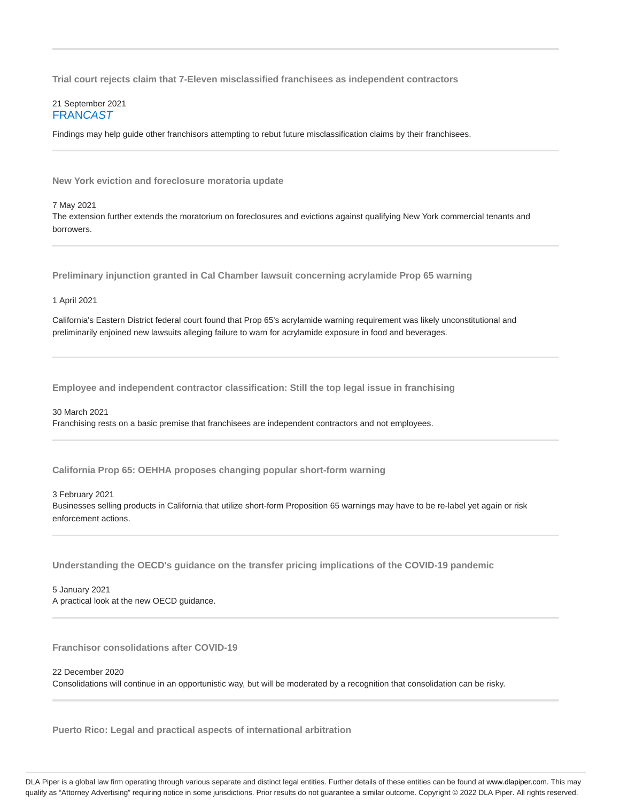**Trial court rejects claim that 7-Eleven misclassified franchisees as independent contractors**

#### 21 September 2021 **FRANCAST**

Findings may help guide other franchisors attempting to rebut future misclassification claims by their franchisees.

**New York eviction and foreclosure moratoria update**

7 May 2021

The extension further extends the moratorium on foreclosures and evictions against qualifying New York commercial tenants and borrowers.

**Preliminary injunction granted in Cal Chamber lawsuit concerning acrylamide Prop 65 warning**

1 April 2021

California's Eastern District federal court found that Prop 65's acrylamide warning requirement was likely unconstitutional and preliminarily enjoined new lawsuits alleging failure to warn for acrylamide exposure in food and beverages.

**Employee and independent contractor classification: Still the top legal issue in franchising**

30 March 2021 Franchising rests on a basic premise that franchisees are independent contractors and not employees.

**California Prop 65: OEHHA proposes changing popular short-form warning**

3 February 2021 Businesses selling products in California that utilize short-form Proposition 65 warnings may have to be re-label yet again or risk enforcement actions.

**Understanding the OECD's guidance on the transfer pricing implications of the COVID-19 pandemic**

5 January 2021 A practical look at the new OECD guidance.

**Franchisor consolidations after COVID-19**

22 December 2020

Consolidations will continue in an opportunistic way, but will be moderated by a recognition that consolidation can be risky.

**Puerto Rico: Legal and practical aspects of international arbitration**

DLA Piper is a global law firm operating through various separate and distinct legal entities. Further details of these entities can be found at www.dlapiper.com. This may qualify as "Attorney Advertising" requiring notice in some jurisdictions. Prior results do not guarantee a similar outcome. Copyright @ 2022 DLA Piper. All rights reserved.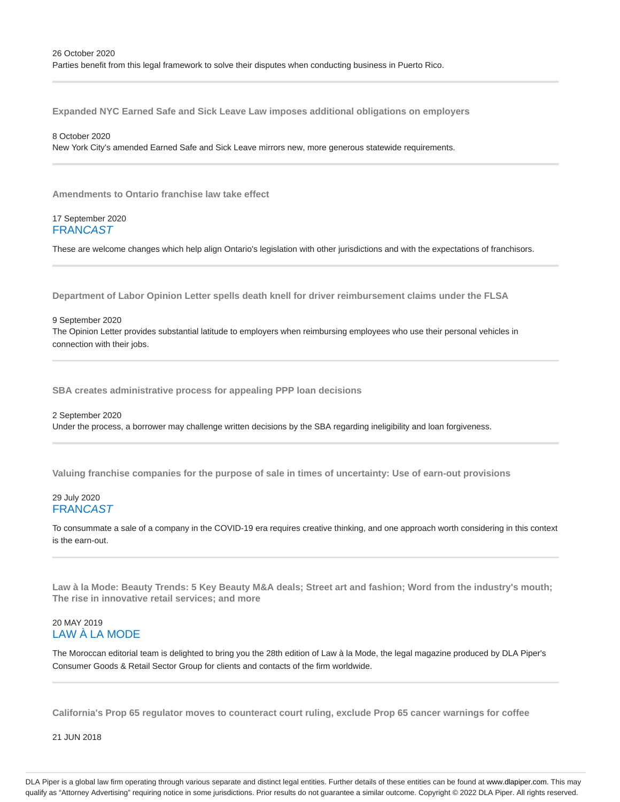**Expanded NYC Earned Safe and Sick Leave Law imposes additional obligations on employers**

#### 8 October 2020

New York City's amended Earned Safe and Sick Leave mirrors new, more generous statewide requirements.

**Amendments to Ontario franchise law take effect**

#### 17 September 2020 **FRANCAST**

These are welcome changes which help align Ontario's legislation with other jurisdictions and with the expectations of franchisors.

**Department of Labor Opinion Letter spells death knell for driver reimbursement claims under the FLSA**

9 September 2020 The Opinion Letter provides substantial latitude to employers when reimbursing employees who use their personal vehicles in connection with their jobs.

**SBA creates administrative process for appealing PPP loan decisions**

## 2 September 2020 Under the process, a borrower may challenge written decisions by the SBA regarding ineligibility and loan forgiveness.

**Valuing franchise companies for the purpose of sale in times of uncertainty: Use of earn-out provisions**

## 29 July 2020 **FRANCAST**

To consummate a sale of a company in the COVID-19 era requires creative thinking, and one approach worth considering in this context is the earn-out.

**Law à la Mode: Beauty Trends: 5 Key Beauty M&A deals; Street art and fashion; Word from the industry's mouth; The rise in innovative retail services; and more**

## 20 MAY 2019 LAW À LA MODE

The Moroccan editorial team is delighted to bring you the 28th edition of Law à la Mode, the legal magazine produced by DLA Piper's Consumer Goods & Retail Sector Group for clients and contacts of the firm worldwide.

**California's Prop 65 regulator moves to counteract court ruling, exclude Prop 65 cancer warnings for coffee**

21 JUN 2018

DLA Piper is a global law firm operating through various separate and distinct legal entities. Further details of these entities can be found at www.dlapiper.com. This may qualify as "Attorney Advertising" requiring notice in some jurisdictions. Prior results do not guarantee a similar outcome. Copyright @ 2022 DLA Piper. All rights reserved.